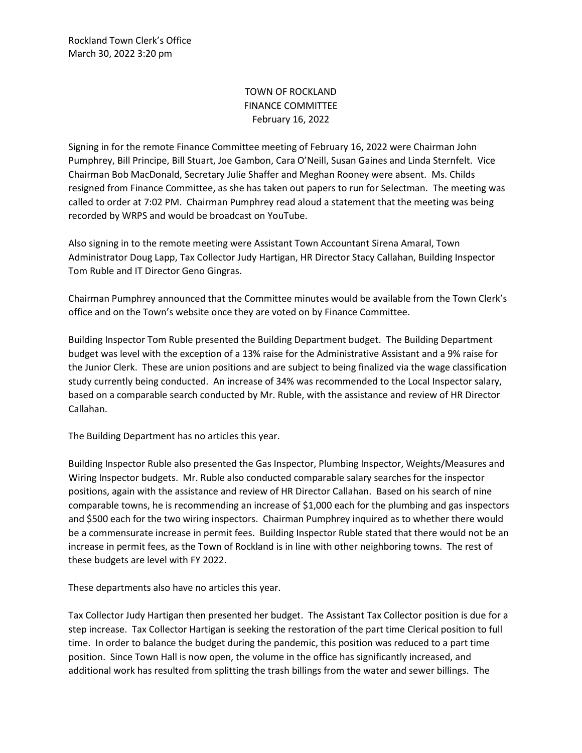Rockland Town Clerk's Office March 30, 2022 3:20 pm

## TOWN OF ROCKLAND FINANCE COMMITTEE February 16, 2022

Signing in for the remote Finance Committee meeting of February 16, 2022 were Chairman John Pumphrey, Bill Principe, Bill Stuart, Joe Gambon, Cara O'Neill, Susan Gaines and Linda Sternfelt. Vice Chairman Bob MacDonald, Secretary Julie Shaffer and Meghan Rooney were absent. Ms. Childs resigned from Finance Committee, as she has taken out papers to run for Selectman. The meeting was called to order at 7:02 PM. Chairman Pumphrey read aloud a statement that the meeting was being recorded by WRPS and would be broadcast on YouTube.

Also signing in to the remote meeting were Assistant Town Accountant Sirena Amaral, Town Administrator Doug Lapp, Tax Collector Judy Hartigan, HR Director Stacy Callahan, Building Inspector Tom Ruble and IT Director Geno Gingras.

Chairman Pumphrey announced that the Committee minutes would be available from the Town Clerk's office and on the Town's website once they are voted on by Finance Committee.

Building Inspector Tom Ruble presented the Building Department budget. The Building Department budget was level with the exception of a 13% raise for the Administrative Assistant and a 9% raise for the Junior Clerk. These are union positions and are subject to being finalized via the wage classification study currently being conducted. An increase of 34% was recommended to the Local Inspector salary, based on a comparable search conducted by Mr. Ruble, with the assistance and review of HR Director Callahan.

The Building Department has no articles this year.

Building Inspector Ruble also presented the Gas Inspector, Plumbing Inspector, Weights/Measures and Wiring Inspector budgets. Mr. Ruble also conducted comparable salary searches for the inspector positions, again with the assistance and review of HR Director Callahan. Based on his search of nine comparable towns, he is recommending an increase of \$1,000 each for the plumbing and gas inspectors and \$500 each for the two wiring inspectors. Chairman Pumphrey inquired as to whether there would be a commensurate increase in permit fees. Building Inspector Ruble stated that there would not be an increase in permit fees, as the Town of Rockland is in line with other neighboring towns. The rest of these budgets are level with FY 2022.

These departments also have no articles this year.

Tax Collector Judy Hartigan then presented her budget. The Assistant Tax Collector position is due for a step increase. Tax Collector Hartigan is seeking the restoration of the part time Clerical position to full time. In order to balance the budget during the pandemic, this position was reduced to a part time position. Since Town Hall is now open, the volume in the office has significantly increased, and additional work has resulted from splitting the trash billings from the water and sewer billings. The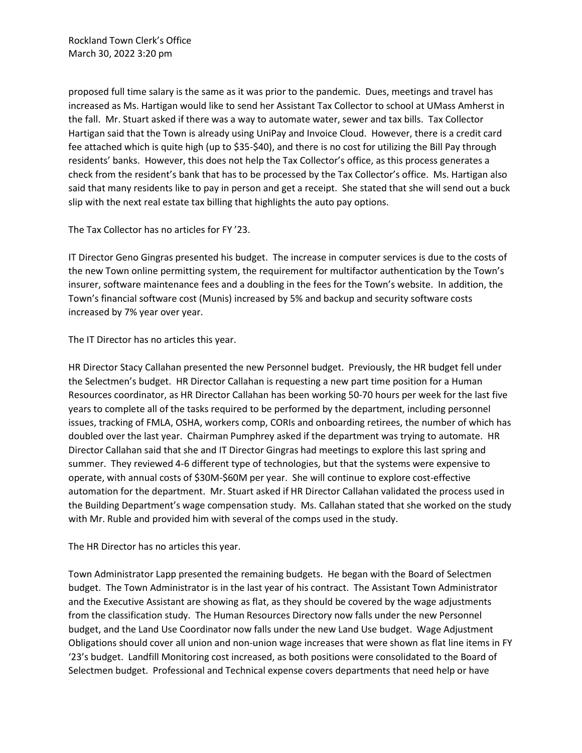proposed full time salary is the same as it was prior to the pandemic. Dues, meetings and travel has increased as Ms. Hartigan would like to send her Assistant Tax Collector to school at UMass Amherst in the fall. Mr. Stuart asked if there was a way to automate water, sewer and tax bills. Tax Collector Hartigan said that the Town is already using UniPay and Invoice Cloud. However, there is a credit card fee attached which is quite high (up to \$35-\$40), and there is no cost for utilizing the Bill Pay through residents' banks. However, this does not help the Tax Collector's office, as this process generates a check from the resident's bank that has to be processed by the Tax Collector's office. Ms. Hartigan also said that many residents like to pay in person and get a receipt. She stated that she will send out a buck slip with the next real estate tax billing that highlights the auto pay options.

The Tax Collector has no articles for FY '23.

IT Director Geno Gingras presented his budget. The increase in computer services is due to the costs of the new Town online permitting system, the requirement for multifactor authentication by the Town's insurer, software maintenance fees and a doubling in the fees for the Town's website. In addition, the Town's financial software cost (Munis) increased by 5% and backup and security software costs increased by 7% year over year.

The IT Director has no articles this year.

HR Director Stacy Callahan presented the new Personnel budget. Previously, the HR budget fell under the Selectmen's budget. HR Director Callahan is requesting a new part time position for a Human Resources coordinator, as HR Director Callahan has been working 50-70 hours per week for the last five years to complete all of the tasks required to be performed by the department, including personnel issues, tracking of FMLA, OSHA, workers comp, CORIs and onboarding retirees, the number of which has doubled over the last year. Chairman Pumphrey asked if the department was trying to automate. HR Director Callahan said that she and IT Director Gingras had meetings to explore this last spring and summer. They reviewed 4-6 different type of technologies, but that the systems were expensive to operate, with annual costs of \$30M-\$60M per year. She will continue to explore cost-effective automation for the department. Mr. Stuart asked if HR Director Callahan validated the process used in the Building Department's wage compensation study. Ms. Callahan stated that she worked on the study with Mr. Ruble and provided him with several of the comps used in the study.

The HR Director has no articles this year.

Town Administrator Lapp presented the remaining budgets. He began with the Board of Selectmen budget. The Town Administrator is in the last year of his contract. The Assistant Town Administrator and the Executive Assistant are showing as flat, as they should be covered by the wage adjustments from the classification study. The Human Resources Directory now falls under the new Personnel budget, and the Land Use Coordinator now falls under the new Land Use budget. Wage Adjustment Obligations should cover all union and non-union wage increases that were shown as flat line items in FY '23's budget. Landfill Monitoring cost increased, as both positions were consolidated to the Board of Selectmen budget. Professional and Technical expense covers departments that need help or have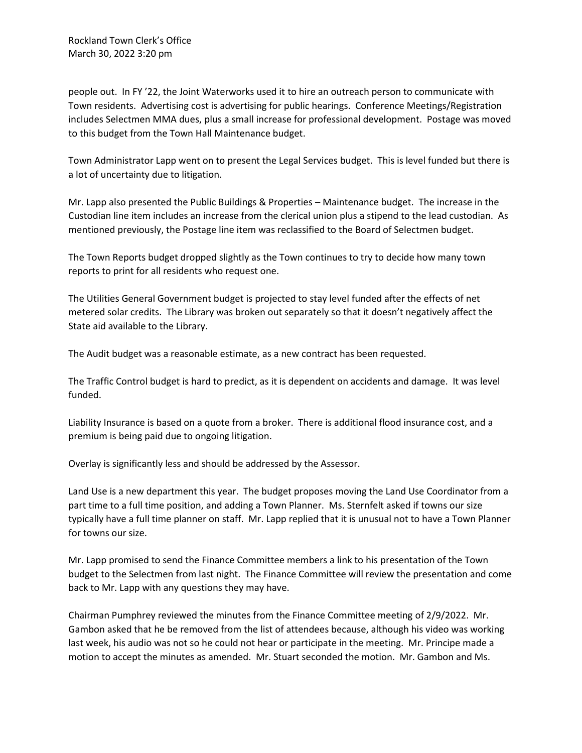Rockland Town Clerk's Office March 30, 2022 3:20 pm

people out. In FY '22, the Joint Waterworks used it to hire an outreach person to communicate with Town residents. Advertising cost is advertising for public hearings. Conference Meetings/Registration includes Selectmen MMA dues, plus a small increase for professional development. Postage was moved to this budget from the Town Hall Maintenance budget.

Town Administrator Lapp went on to present the Legal Services budget. This is level funded but there is a lot of uncertainty due to litigation.

Mr. Lapp also presented the Public Buildings & Properties – Maintenance budget. The increase in the Custodian line item includes an increase from the clerical union plus a stipend to the lead custodian. As mentioned previously, the Postage line item was reclassified to the Board of Selectmen budget.

The Town Reports budget dropped slightly as the Town continues to try to decide how many town reports to print for all residents who request one.

The Utilities General Government budget is projected to stay level funded after the effects of net metered solar credits. The Library was broken out separately so that it doesn't negatively affect the State aid available to the Library.

The Audit budget was a reasonable estimate, as a new contract has been requested.

The Traffic Control budget is hard to predict, as it is dependent on accidents and damage. It was level funded.

Liability Insurance is based on a quote from a broker. There is additional flood insurance cost, and a premium is being paid due to ongoing litigation.

Overlay is significantly less and should be addressed by the Assessor.

Land Use is a new department this year. The budget proposes moving the Land Use Coordinator from a part time to a full time position, and adding a Town Planner. Ms. Sternfelt asked if towns our size typically have a full time planner on staff. Mr. Lapp replied that it is unusual not to have a Town Planner for towns our size.

Mr. Lapp promised to send the Finance Committee members a link to his presentation of the Town budget to the Selectmen from last night. The Finance Committee will review the presentation and come back to Mr. Lapp with any questions they may have.

Chairman Pumphrey reviewed the minutes from the Finance Committee meeting of 2/9/2022. Mr. Gambon asked that he be removed from the list of attendees because, although his video was working last week, his audio was not so he could not hear or participate in the meeting. Mr. Principe made a motion to accept the minutes as amended. Mr. Stuart seconded the motion. Mr. Gambon and Ms.